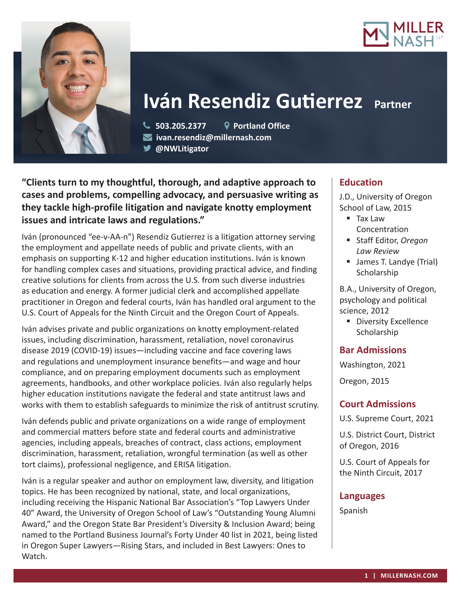



# **Iván Resendiz Gutierrez Partner**

 **503.205.2377 Portland Office ivan.resendiz@millernash.com** 

**@NWLitigator**

**"Clients turn to my thoughtful, thorough, and adaptive approach to cases and problems, compelling advocacy, and persuasive writing as they tackle high-profile litigation and navigate knotty employment issues and intricate laws and regulations."**

Iván (pronounced "ee-v-AA-n") Resendiz Gutierrez is a litigation attorney serving the employment and appellate needs of public and private clients, with an emphasis on supporting K-12 and higher education institutions. Iván is known for handling complex cases and situations, providing practical advice, and finding creative solutions for clients from across the U.S. from such diverse industries as education and energy. A former judicial clerk and accomplished appellate practitioner in Oregon and federal courts, Iván has handled oral argument to the U.S. Court of Appeals for the Ninth Circuit and the Oregon Court of Appeals.

Iván advises private and public organizations on knotty employment-related issues, including discrimination, harassment, retaliation, novel coronavirus disease 2019 (COVID-19) issues—including vaccine and face covering laws and regulations and unemployment insurance benefits—and wage and hour compliance, and on preparing employment documents such as employment agreements, handbooks, and other workplace policies. Iván also regularly helps higher education institutions navigate the federal and state antitrust laws and works with them to establish safeguards to minimize the risk of antitrust scrutiny.

Iván defends public and private organizations on a wide range of employment and commercial matters before state and federal courts and administrative agencies, including appeals, breaches of contract, class actions, employment discrimination, harassment, retaliation, wrongful termination (as well as other tort claims), professional negligence, and ERISA litigation.

Iván is a regular speaker and author on employment law, diversity, and litigation topics. He has been recognized by national, state, and local organizations, including receiving the Hispanic National Bar Association's "Top Lawyers Under 40" Award, the University of Oregon School of Law's "Outstanding Young Alumni Award," and the Oregon State Bar President's Diversity & Inclusion Award; being named to the Portland Business Journal's Forty Under 40 list in 2021, being listed in Oregon Super Lawyers—Rising Stars, and included in Best Lawyers: Ones to Watch.

# **Education**

J.D., University of Oregon School of Law, 2015

- Tax Law Concentration
- Staff Editor, *Oregon Law Review*
- **James T. Landye (Trial) Scholarship**

B.A., University of Oregon, psychology and political science, 2012

**Diversity Excellence Scholarship** 

# **Bar Admissions**

Washington, 2021

Oregon, 2015

# **Court Admissions**

U.S. Supreme Court, 2021

U.S. District Court, District of Oregon, 2016

U.S. Court of Appeals for the Ninth Circuit, 2017

## **Languages**

Spanish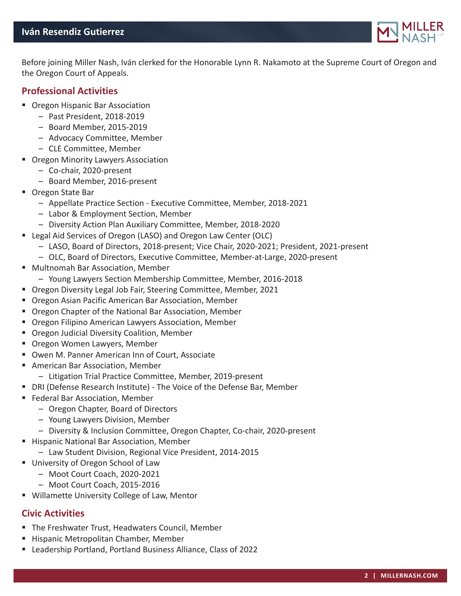# **Iván Resendiz Gutierrez**



Before joining Miller Nash, Iván clerked for the Honorable Lynn R. Nakamoto at the Supreme Court of Oregon and the Oregon Court of Appeals.

## **Professional Activities**

- **Oregon Hispanic Bar Association** 
	- Past President, 2018-2019
	- Board Member, 2015-2019
	- Advocacy Committee, Member
	- CLE Committee, Member
- **Oregon Minority Lawyers Association** 
	- Co-chair, 2020-present
	- Board Member, 2016-present
- Oregon State Bar
	- Appellate Practice Section Executive Committee, Member, 2018-2021
	- Labor & Employment Section, Member
	- Diversity Action Plan Auxiliary Committee, Member, 2018-2020
- Legal Aid Services of Oregon (LASO) and Oregon Law Center (OLC)
	- LASO, Board of Directors, 2018-present; Vice Chair, 2020-2021; President, 2021-present
	- OLC, Board of Directors, Executive Committee, Member-at-Large, 2020-present
- Multnomah Bar Association, Member
	- Young Lawyers Section Membership Committee, Member, 2016-2018
- Oregon Diversity Legal Job Fair, Steering Committee, Member, 2021
- Oregon Asian Pacific American Bar Association, Member
- Oregon Chapter of the National Bar Association, Member
- **Oregon Filipino American Lawyers Association, Member**
- **Oregon Judicial Diversity Coalition, Member**
- **Oregon Women Lawyers, Member**
- Owen M. Panner American Inn of Court, Associate
- American Bar Association, Member
	- Litigation Trial Practice Committee, Member, 2019-present
- DRI (Defense Research Institute) The Voice of the Defense Bar, Member
- **Federal Bar Association, Member** 
	- Oregon Chapter, Board of Directors
	- Young Lawyers Division, Member
	- Diversity & Inclusion Committee, Oregon Chapter, Co-chair, 2020-present
- **Hispanic National Bar Association, Member** 
	- Law Student Division, Regional Vice President, 2014-2015
- **University of Oregon School of Law** 
	- Moot Court Coach, 2020-2021
	- Moot Court Coach, 2015-2016
- **Willamette University College of Law, Mentor**

# **Civic Activities**

- The Freshwater Trust, Headwaters Council, Member
- **Hispanic Metropolitan Chamber, Member**
- Leadership Portland, Portland Business Alliance, Class of 2022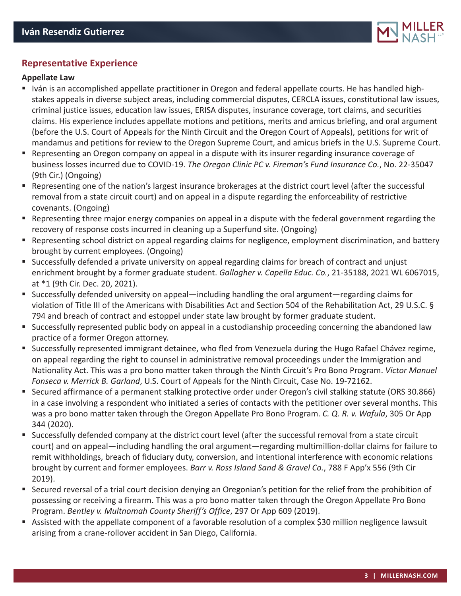

# **Representative Experience**

#### **Appellate Law**

- Iván is an accomplished appellate practitioner in Oregon and federal appellate courts. He has handled highstakes appeals in diverse subject areas, including commercial disputes, CERCLA issues, constitutional law issues, criminal justice issues, education law issues, ERISA disputes, insurance coverage, tort claims, and securities claims. His experience includes appellate motions and petitions, merits and amicus briefing, and oral argument (before the U.S. Court of Appeals for the Ninth Circuit and the Oregon Court of Appeals), petitions for writ of mandamus and petitions for review to the Oregon Supreme Court, and amicus briefs in the U.S. Supreme Court.
- Representing an Oregon company on appeal in a dispute with its insurer regarding insurance coverage of business losses incurred due to COVID-19. *The Oregon Clinic PC v. Fireman's Fund Insurance Co.*, No. 22-35047 (9th Cir.) (Ongoing)
- Representing one of the nation's largest insurance brokerages at the district court level (after the successful removal from a state circuit court) and on appeal in a dispute regarding the enforceability of restrictive covenants. (Ongoing)
- Representing three major energy companies on appeal in a dispute with the federal government regarding the recovery of response costs incurred in cleaning up a Superfund site. (Ongoing)
- Representing school district on appeal regarding claims for negligence, employment discrimination, and battery brought by current employees. (Ongoing)
- Successfully defended a private university on appeal regarding claims for breach of contract and unjust enrichment brought by a former graduate student. *Gallagher v. Capella Educ. Co.*, 21-35188, 2021 WL 6067015, at \*1 (9th Cir. Dec. 20, 2021).
- Successfully defended university on appeal—including handling the oral argument—regarding claims for violation of Title III of the Americans with Disabilities Act and Section 504 of the Rehabilitation Act, 29 U.S.C. § 794 and breach of contract and estoppel under state law brought by former graduate student.
- Successfully represented public body on appeal in a custodianship proceeding concerning the abandoned law practice of a former Oregon attorney.
- Successfully represented immigrant detainee, who fled from Venezuela during the Hugo Rafael Chávez regime, on appeal regarding the right to counsel in administrative removal proceedings under the Immigration and Nationality Act. This was a pro bono matter taken through the Ninth Circuit's Pro Bono Program. *Victor Manuel Fonseca v. Merrick B. Garland*, U.S. Court of Appeals for the Ninth Circuit, Case No. 19-72162.
- Secured affirmance of a permanent stalking protective order under Oregon's civil stalking statute (ORS 30.866) in a case involving a respondent who initiated a series of contacts with the petitioner over several months. This was a pro bono matter taken through the Oregon Appellate Pro Bono Program. *C. Q. R. v. Wafula*, 305 Or App 344 (2020).
- Successfully defended company at the district court level (after the successful removal from a state circuit court) and on appeal—including handling the oral argument—regarding multimillion-dollar claims for failure to remit withholdings, breach of fiduciary duty, conversion, and intentional interference with economic relations brought by current and former employees. *Barr v. Ross Island Sand & Gravel Co.*, 788 F App'x 556 (9th Cir 2019).
- Secured reversal of a trial court decision denying an Oregonian's petition for the relief from the prohibition of possessing or receiving a firearm. This was a pro bono matter taken through the Oregon Appellate Pro Bono Program. *Bentley v. Multnomah County Sheriff's Office*, 297 Or App 609 (2019).
- Assisted with the appellate component of a favorable resolution of a complex \$30 million negligence lawsuit arising from a crane-rollover accident in San Diego, California.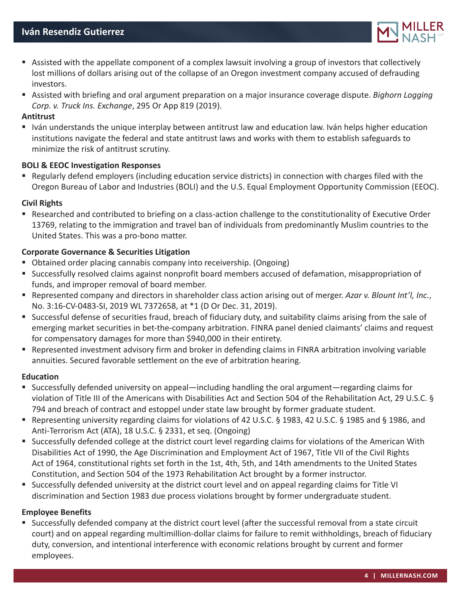

- Assisted with the appellate component of a complex lawsuit involving a group of investors that collectively lost millions of dollars arising out of the collapse of an Oregon investment company accused of defrauding investors.
- Assisted with briefing and oral argument preparation on a major insurance coverage dispute. *Bighorn Logging Corp. v. Truck Ins. Exchange*, 295 Or App 819 (2019).

#### **Antitrust**

 Iván understands the unique interplay between antitrust law and education law. Iván helps higher education institutions navigate the federal and state antitrust laws and works with them to establish safeguards to minimize the risk of antitrust scrutiny.

#### **BOLI & EEOC Investigation Responses**

 Regularly defend employers (including education service districts) in connection with charges filed with the Oregon Bureau of Labor and Industries (BOLI) and the U.S. Equal Employment Opportunity Commission (EEOC).

#### **Civil Rights**

 Researched and contributed to briefing on a class-action challenge to the constitutionality of Executive Order 13769, relating to the immigration and travel ban of individuals from predominantly Muslim countries to the United States. This was a pro-bono matter.

#### **Corporate Governance & Securities Litigation**

- Obtained order placing cannabis company into receivership. (Ongoing)
- Successfully resolved claims against nonprofit board members accused of defamation, misappropriation of funds, and improper removal of board member.
- Represented company and directors in shareholder class action arising out of merger. *Azar v. Blount Int'l, Inc.*, No. 3:16-CV-0483-SI, 2019 WL 7372658, at \*1 (D Or Dec. 31, 2019).
- Successful defense of securities fraud, breach of fiduciary duty, and suitability claims arising from the sale of emerging market securities in bet-the-company arbitration. FINRA panel denied claimants' claims and request for compensatory damages for more than \$940,000 in their entirety.
- Represented investment advisory firm and broker in defending claims in FINRA arbitration involving variable annuities. Secured favorable settlement on the eve of arbitration hearing.

#### **Education**

- Successfully defended university on appeal—including handling the oral argument—regarding claims for violation of Title III of the Americans with Disabilities Act and Section 504 of the Rehabilitation Act, 29 U.S.C. § 794 and breach of contract and estoppel under state law brought by former graduate student.
- Representing university regarding claims for violations of 42 U.S.C. § 1983, 42 U.S.C. § 1985 and § 1986, and Anti-Terrorism Act (ATA), 18 U.S.C. § 2331, et seq. (Ongoing)
- Successfully defended college at the district court level regarding claims for violations of the American With Disabilities Act of 1990, the Age Discrimination and Employment Act of 1967, Title VII of the Civil Rights Act of 1964, constitutional rights set forth in the 1st, 4th, 5th, and 14th amendments to the United States Constitution, and Section 504 of the 1973 Rehabilitation Act brought by a former instructor.
- Successfully defended university at the district court level and on appeal regarding claims for Title VI discrimination and Section 1983 due process violations brought by former undergraduate student.

#### **Employee Benefits**

 Successfully defended company at the district court level (after the successful removal from a state circuit court) and on appeal regarding multimillion-dollar claims for failure to remit withholdings, breach of fiduciary duty, conversion, and intentional interference with economic relations brought by current and former employees.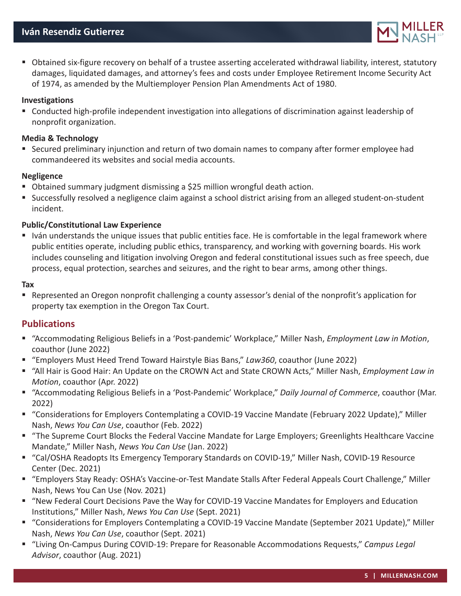

 Obtained six-figure recovery on behalf of a trustee asserting accelerated withdrawal liability, interest, statutory damages, liquidated damages, and attorney's fees and costs under Employee Retirement Income Security Act of 1974, as amended by the Multiemployer Pension Plan Amendments Act of 1980.

#### **Investigations**

 Conducted high-profile independent investigation into allegations of discrimination against leadership of nonprofit organization.

#### **Media & Technology**

 Secured preliminary injunction and return of two domain names to company after former employee had commandeered its websites and social media accounts.

#### **Negligence**

- Obtained summary judgment dismissing a \$25 million wrongful death action.
- Successfully resolved a negligence claim against a school district arising from an alleged student-on-student incident.

#### **Public/Constitutional Law Experience**

 Iván understands the unique issues that public entities face. He is comfortable in the legal framework where public entities operate, including public ethics, transparency, and working with governing boards. His work includes counseling and litigation involving Oregon and federal constitutional issues such as free speech, due process, equal protection, searches and seizures, and the right to bear arms, among other things.

#### **Tax**

 Represented an Oregon nonprofit challenging a county assessor's denial of the nonprofit's application for property tax exemption in the Oregon Tax Court.

## **Publications**

- "Accommodating Religious Beliefs in a 'Post-pandemic' Workplace," Miller Nash, *Employment Law in Motion*, coauthor (June 2022)
- "Employers Must Heed Trend Toward Hairstyle Bias Bans," *Law360*, coauthor (June 2022)
- "All Hair is Good Hair: An Update on the CROWN Act and State CROWN Acts," Miller Nash, *Employment Law in Motion*, coauthor (Apr. 2022)
- "Accommodating Religious Beliefs in a 'Post-Pandemic' Workplace," *Daily Journal of Commerce*, coauthor (Mar. 2022)
- "Considerations for Employers Contemplating a COVID-19 Vaccine Mandate (February 2022 Update)," Miller Nash, *News You Can Use*, coauthor (Feb. 2022)
- "The Supreme Court Blocks the Federal Vaccine Mandate for Large Employers; Greenlights Healthcare Vaccine Mandate," Miller Nash, *News You Can Use* (Jan. 2022)
- "Cal/OSHA Readopts Its Emergency Temporary Standards on COVID-19," Miller Nash, COVID-19 Resource Center (Dec. 2021)
- "Employers Stay Ready: OSHA's Vaccine-or-Test Mandate Stalls After Federal Appeals Court Challenge," Miller Nash, News You Can Use (Nov. 2021)
- "New Federal Court Decisions Pave the Way for COVID-19 Vaccine Mandates for Employers and Education Institutions," Miller Nash, *News You Can Use* (Sept. 2021)
- "Considerations for Employers Contemplating a COVID-19 Vaccine Mandate (September 2021 Update)," Miller Nash, *News You Can Use*, coauthor (Sept. 2021)
- "Living On-Campus During COVID-19: Prepare for Reasonable Accommodations Requests," *Campus Legal Advisor*, coauthor (Aug. 2021)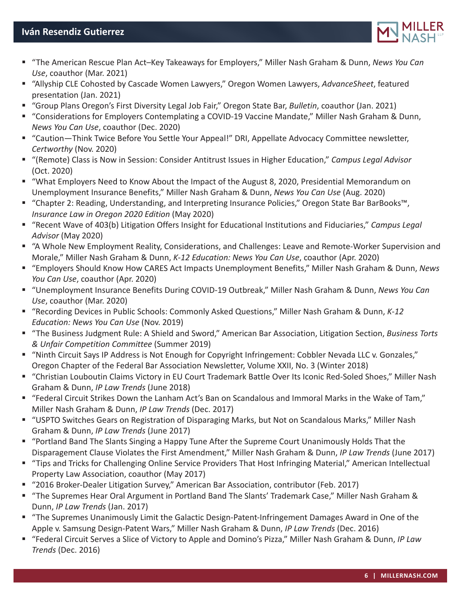

- "The American Rescue Plan Act–Key Takeaways for Employers," Miller Nash Graham & Dunn, *News You Can Use*, coauthor (Mar. 2021)
- "Allyship CLE Cohosted by Cascade Women Lawyers," Oregon Women Lawyers, *AdvanceSheet*, featured presentation (Jan. 2021)
- "Group Plans Oregon's First Diversity Legal Job Fair," Oregon State Bar, *Bulletin*, coauthor (Jan. 2021)
- "Considerations for Employers Contemplating a COVID-19 Vaccine Mandate," Miller Nash Graham & Dunn, *News You Can Use*, coauthor (Dec. 2020)
- "Caution—Think Twice Before You Settle Your Appeal!" DRI, Appellate Advocacy Committee newsletter, *Certworthy* (Nov. 2020)
- "(Remote) Class is Now in Session: Consider Antitrust Issues in Higher Education," *Campus Legal Advisor* (Oct. 2020)
- "What Employers Need to Know About the Impact of the August 8, 2020, Presidential Memorandum on Unemployment Insurance Benefits," Miller Nash Graham & Dunn, *News You Can Use* (Aug. 2020)
- "Chapter 2: Reading, Understanding, and Interpreting Insurance Policies," Oregon State Bar BarBooks™, *Insurance Law in Oregon 2020 Edition* (May 2020)
- "Recent Wave of 403(b) Litigation Offers Insight for Educational Institutions and Fiduciaries," *Campus Legal Advisor* (May 2020)
- "A Whole New Employment Reality, Considerations, and Challenges: Leave and Remote-Worker Supervision and Morale," Miller Nash Graham & Dunn, *K-12 Education: News You Can Use*, coauthor (Apr. 2020)
- "Employers Should Know How CARES Act Impacts Unemployment Benefits," Miller Nash Graham & Dunn, *News You Can Use*, coauthor (Apr. 2020)
- "Unemployment Insurance Benefits During COVID-19 Outbreak," Miller Nash Graham & Dunn, *News You Can Use*, coauthor (Mar. 2020)
- "Recording Devices in Public Schools: Commonly Asked Questions," Miller Nash Graham & Dunn, *K-12 Education: News You Can Use* (Nov. 2019)
- "The Business Judgment Rule: A Shield and Sword," American Bar Association, Litigation Section, *Business Torts & Unfair Competition Committee* (Summer 2019)
- "Ninth Circuit Says IP Address is Not Enough for Copyright Infringement: Cobbler Nevada LLC v. Gonzales," Oregon Chapter of the Federal Bar Association Newsletter, Volume XXII, No. 3 (Winter 2018)
- "Christian Louboutin Claims Victory in EU Court Trademark Battle Over Its Iconic Red-Soled Shoes," Miller Nash Graham & Dunn, *IP Law Trends* (June 2018)
- "Federal Circuit Strikes Down the Lanham Act's Ban on Scandalous and Immoral Marks in the Wake of Tam," Miller Nash Graham & Dunn, *IP Law Trends* (Dec. 2017)
- "USPTO Switches Gears on Registration of Disparaging Marks, but Not on Scandalous Marks," Miller Nash Graham & Dunn, *IP Law Trends* (June 2017)
- "Portland Band The Slants Singing a Happy Tune After the Supreme Court Unanimously Holds That the Disparagement Clause Violates the First Amendment," Miller Nash Graham & Dunn, *IP Law Trends* (June 2017)
- "Tips and Tricks for Challenging Online Service Providers That Host Infringing Material," American Intellectual Property Law Association, coauthor (May 2017)
- "2016 Broker-Dealer Litigation Survey," American Bar Association, contributor (Feb. 2017)
- "The Supremes Hear Oral Argument in Portland Band The Slants' Trademark Case," Miller Nash Graham & Dunn, *IP Law Trends* (Jan. 2017)
- "The Supremes Unanimously Limit the Galactic Design-Patent-Infringement Damages Award in One of the Apple v. Samsung Design-Patent Wars," Miller Nash Graham & Dunn, *IP Law Trends* (Dec. 2016)
- "Federal Circuit Serves a Slice of Victory to Apple and Domino's Pizza," Miller Nash Graham & Dunn, *IP Law Trends* (Dec. 2016)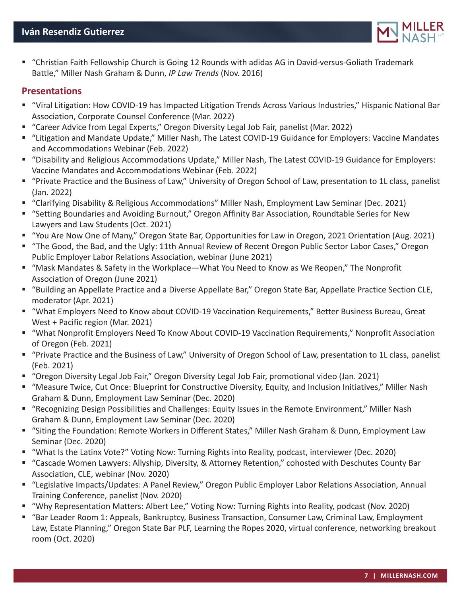

 "Christian Faith Fellowship Church is Going 12 Rounds with adidas AG in David-versus-Goliath Trademark Battle," Miller Nash Graham & Dunn, *IP Law Trends* (Nov. 2016)

## **Presentations**

- "Viral Litigation: How COVID-19 has Impacted Litigation Trends Across Various Industries," Hispanic National Bar Association, Corporate Counsel Conference (Mar. 2022)
- "Career Advice from Legal Experts," Oregon Diversity Legal Job Fair, panelist (Mar. 2022)
- "Litigation and Mandate Update," Miller Nash, The Latest COVID-19 Guidance for Employers: Vaccine Mandates and Accommodations Webinar (Feb. 2022)
- "Disability and Religious Accommodations Update," Miller Nash, The Latest COVID-19 Guidance for Employers: Vaccine Mandates and Accommodations Webinar (Feb. 2022)
- "Private Practice and the Business of Law," University of Oregon School of Law, presentation to 1L class, panelist (Jan. 2022)
- "Clarifying Disability & Religious Accommodations" Miller Nash, Employment Law Seminar (Dec. 2021)
- "Setting Boundaries and Avoiding Burnout," Oregon Affinity Bar Association, Roundtable Series for New Lawyers and Law Students (Oct. 2021)
- "You Are Now One of Many," Oregon State Bar, Opportunities for Law in Oregon, 2021 Orientation (Aug. 2021)
- "The Good, the Bad, and the Ugly: 11th Annual Review of Recent Oregon Public Sector Labor Cases," Oregon Public Employer Labor Relations Association, webinar (June 2021)
- "Mask Mandates & Safety in the Workplace—What You Need to Know as We Reopen," The Nonprofit Association of Oregon (June 2021)
- "Building an Appellate Practice and a Diverse Appellate Bar," Oregon State Bar, Appellate Practice Section CLE, moderator (Apr. 2021)
- "What Employers Need to Know about COVID-19 Vaccination Requirements," Better Business Bureau, Great West + Pacific region (Mar. 2021)
- "What Nonprofit Employers Need To Know About COVID-19 Vaccination Requirements," Nonprofit Association of Oregon (Feb. 2021)
- "Private Practice and the Business of Law," University of Oregon School of Law, presentation to 1L class, panelist (Feb. 2021)
- "Oregon Diversity Legal Job Fair," Oregon Diversity Legal Job Fair, promotional video (Jan. 2021)
- "Measure Twice, Cut Once: Blueprint for Constructive Diversity, Equity, and Inclusion Initiatives," Miller Nash Graham & Dunn, Employment Law Seminar (Dec. 2020)
- "Recognizing Design Possibilities and Challenges: Equity Issues in the Remote Environment," Miller Nash Graham & Dunn, Employment Law Seminar (Dec. 2020)
- "Siting the Foundation: Remote Workers in Different States," Miller Nash Graham & Dunn, Employment Law Seminar (Dec. 2020)
- "What Is the Latinx Vote?" Voting Now: Turning Rights into Reality, podcast, interviewer (Dec. 2020)
- "Cascade Women Lawyers: Allyship, Diversity, & Attorney Retention," cohosted with Deschutes County Bar Association, CLE, webinar (Nov. 2020)
- "Legislative Impacts/Updates: A Panel Review," Oregon Public Employer Labor Relations Association, Annual Training Conference, panelist (Nov. 2020)
- "Why Representation Matters: Albert Lee," Voting Now: Turning Rights into Reality, podcast (Nov. 2020)
- "Bar Leader Room 1: Appeals, Bankruptcy, Business Transaction, Consumer Law, Criminal Law, Employment Law, Estate Planning," Oregon State Bar PLF, Learning the Ropes 2020, virtual conference, networking breakout room (Oct. 2020)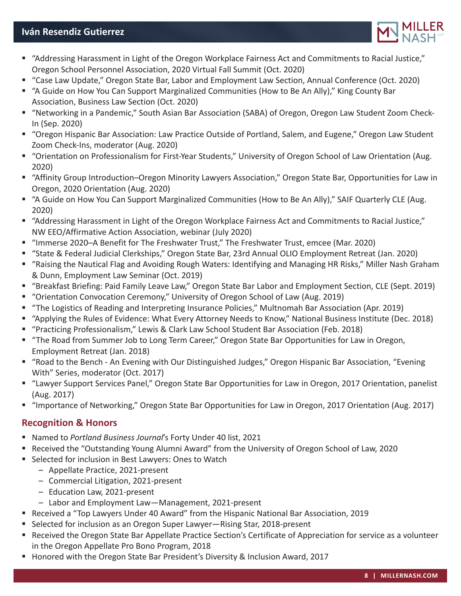# **Iván Resendiz Gutierrez**



- "Addressing Harassment in Light of the Oregon Workplace Fairness Act and Commitments to Racial Justice," Oregon School Personnel Association, 2020 Virtual Fall Summit (Oct. 2020)
- "Case Law Update," Oregon State Bar, Labor and Employment Law Section, Annual Conference (Oct. 2020)
- "A Guide on How You Can Support Marginalized Communities (How to Be An Ally)," King County Bar Association, Business Law Section (Oct. 2020)
- "Networking in a Pandemic," South Asian Bar Association (SABA) of Oregon, Oregon Law Student Zoom Check-In (Sep. 2020)
- "Oregon Hispanic Bar Association: Law Practice Outside of Portland, Salem, and Eugene," Oregon Law Student Zoom Check-Ins, moderator (Aug. 2020)
- "Orientation on Professionalism for First-Year Students," University of Oregon School of Law Orientation (Aug. 2020)
- "Affinity Group Introduction–Oregon Minority Lawyers Association," Oregon State Bar, Opportunities for Law in Oregon, 2020 Orientation (Aug. 2020)
- "A Guide on How You Can Support Marginalized Communities (How to Be An Ally)," SAIF Quarterly CLE (Aug. 2020)
- "Addressing Harassment in Light of the Oregon Workplace Fairness Act and Commitments to Racial Justice," NW EEO/Affirmative Action Association, webinar (July 2020)
- "Immerse 2020–A Benefit for The Freshwater Trust," The Freshwater Trust, emcee (Mar. 2020)
- "State & Federal Judicial Clerkships," Oregon State Bar, 23rd Annual OLIO Employment Retreat (Jan. 2020)
- "Raising the Nautical Flag and Avoiding Rough Waters: Identifying and Managing HR Risks," Miller Nash Graham & Dunn, Employment Law Seminar (Oct. 2019)
- "Breakfast Briefing: Paid Family Leave Law," Oregon State Bar Labor and Employment Section, CLE (Sept. 2019)
- "Orientation Convocation Ceremony," University of Oregon School of Law (Aug. 2019)
- "The Logistics of Reading and Interpreting Insurance Policies," Multnomah Bar Association (Apr. 2019)
- "Applying the Rules of Evidence: What Every Attorney Needs to Know," National Business Institute (Dec. 2018)
- "Practicing Professionalism," Lewis & Clark Law School Student Bar Association (Feb. 2018)
- "The Road from Summer Job to Long Term Career," Oregon State Bar Opportunities for Law in Oregon, Employment Retreat (Jan. 2018)
- "Road to the Bench An Evening with Our Distinguished Judges," Oregon Hispanic Bar Association, "Evening With" Series, moderator (Oct. 2017)
- "Lawyer Support Services Panel," Oregon State Bar Opportunities for Law in Oregon, 2017 Orientation, panelist (Aug. 2017)
- "Importance of Networking," Oregon State Bar Opportunities for Law in Oregon, 2017 Orientation (Aug. 2017)

# **Recognition & Honors**

- Named to *Portland Business Journal*'s Forty Under 40 list, 2021
- Received the "Outstanding Young Alumni Award" from the University of Oregon School of Law, 2020
- **Selected for inclusion in Best Lawyers: Ones to Watch** 
	- Appellate Practice, 2021-present
	- Commercial Litigation, 2021-present
	- Education Law, 2021-present
	- Labor and Employment Law—Management, 2021-present
- Received a "Top Lawyers Under 40 Award" from the Hispanic National Bar Association, 2019
- Selected for inclusion as an Oregon Super Lawyer—Rising Star, 2018-present
- Received the Oregon State Bar Appellate Practice Section's Certificate of Appreciation for service as a volunteer in the Oregon Appellate Pro Bono Program, 2018
- Honored with the Oregon State Bar President's Diversity & Inclusion Award, 2017